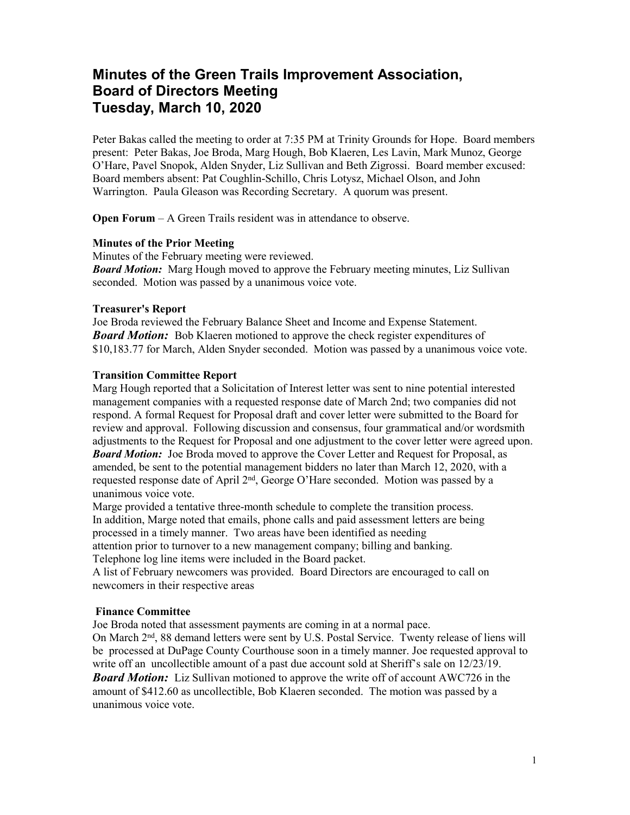# **Minutes of the Green Trails Improvement Association, Board of Directors Meeting Tuesday, March 10, 2020**

Peter Bakas called the meeting to order at 7:35 PM at Trinity Grounds for Hope. Board members present: Peter Bakas, Joe Broda, Marg Hough, Bob Klaeren, Les Lavin, Mark Munoz, George O'Hare, Pavel Snopok, Alden Snyder, Liz Sullivan and Beth Zigrossi. Board member excused: Board members absent: Pat Coughlin-Schillo, Chris Lotysz, Michael Olson, and John Warrington. Paula Gleason was Recording Secretary. A quorum was present.

**Open Forum** – A Green Trails resident was in attendance to observe.

### **Minutes of the Prior Meeting**

Minutes of the February meeting were reviewed. *Board Motion:* Marg Hough moved to approve the February meeting minutes, Liz Sullivan seconded. Motion was passed by a unanimous voice vote.

### **Treasurer's Report**

Joe Broda reviewed the February Balance Sheet and Income and Expense Statement. *Board Motion:* Bob Klaeren motioned to approve the check register expenditures of \$10,183.77 for March, Alden Snyder seconded. Motion was passed by a unanimous voice vote.

### **Transition Committee Report**

Marg Hough reported that a Solicitation of Interest letter was sent to nine potential interested management companies with a requested response date of March 2nd; two companies did not respond. A formal Request for Proposal draft and cover letter were submitted to the Board for review and approval. Following discussion and consensus, four grammatical and/or wordsmith adjustments to the Request for Proposal and one adjustment to the cover letter were agreed upon. *Board Motion:* Joe Broda moved to approve the Cover Letter and Request for Proposal, as amended, be sent to the potential management bidders no later than March 12, 2020, with a requested response date of April 2<sup>nd</sup>, George O'Hare seconded. Motion was passed by a unanimous voice vote.

Marge provided a tentative three-month schedule to complete the transition process. In addition, Marge noted that emails, phone calls and paid assessment letters are being processed in a timely manner. Two areas have been identified as needing attention prior to turnover to a new management company; billing and banking. Telephone log line items were included in the Board packet.

A list of February newcomers was provided. Board Directors are encouraged to call on newcomers in their respective areas

# **Finance Committee**

Joe Broda noted that assessment payments are coming in at a normal pace.

On March 2<sup>nd</sup>, 88 demand letters were sent by U.S. Postal Service. Twenty release of liens will be processed at DuPage County Courthouse soon in a timely manner. Joe requested approval to write off an uncollectible amount of a past due account sold at Sheriff's sale on  $12/23/19$ . *Board Motion:* Liz Sullivan motioned to approve the write off of account AWC726 in the amount of \$412.60 as uncollectible, Bob Klaeren seconded. The motion was passed by a unanimous voice vote.